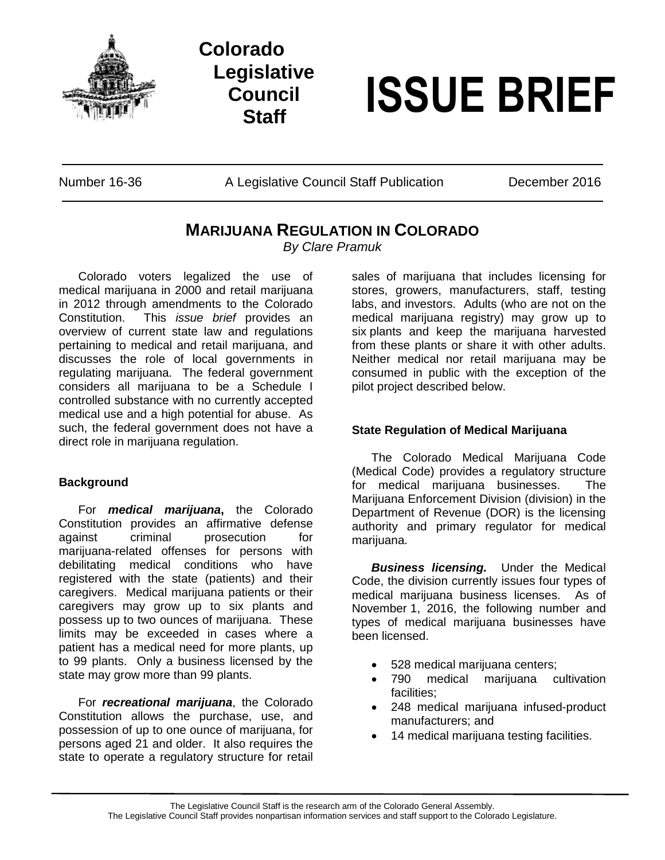

# **Colorado Legislative Council**



Number 16-36 A Legislative Council Staff Publication December 2016

# **MARIJUANA REGULATION IN COLORADO**

*By Clare Pramuk*

Colorado voters legalized the use of medical marijuana in 2000 and retail marijuana in 2012 through amendments to the Colorado Constitution. This *issue brief* provides an overview of current state law and regulations pertaining to medical and retail marijuana, and discusses the role of local governments in regulating marijuana. The federal government considers all marijuana to be a Schedule I controlled substance with no currently accepted medical use and a high potential for abuse. As such, the federal government does not have a direct role in marijuana regulation.

### **Background**

For *medical marijuana***,** the Colorado Constitution provides an affirmative defense against criminal prosecution for marijuana-related offenses for persons with debilitating medical conditions who have registered with the state (patients) and their caregivers. Medical marijuana patients or their caregivers may grow up to six plants and possess up to two ounces of marijuana. These limits may be exceeded in cases where a patient has a medical need for more plants, up to 99 plants. Only a business licensed by the state may grow more than 99 plants.

For *recreational marijuana*, the Colorado Constitution allows the purchase, use, and possession of up to one ounce of marijuana, for persons aged 21 and older. It also requires the state to operate a regulatory structure for retail

sales of marijuana that includes licensing for stores, growers, manufacturers, staff, testing labs, and investors. Adults (who are not on the medical marijuana registry) may grow up to six plants and keep the marijuana harvested from these plants or share it with other adults. Neither medical nor retail marijuana may be consumed in public with the exception of the pilot project described below.

## **State Regulation of Medical Marijuana**

The Colorado Medical Marijuana Code (Medical Code) provides a regulatory structure for medical marijuana businesses. The Marijuana Enforcement Division (division) in the Department of Revenue (DOR) is the licensing authority and primary regulator for medical marijuana.

*Business licensing.* Under the Medical Code, the division currently issues four types of medical marijuana business licenses. As of November 1, 2016, the following number and types of medical marijuana businesses have been licensed.

- 528 medical marijuana centers;
- 790 medical marijuana cultivation facilities;
- 248 medical marijuana infused-product manufacturers; and
- 14 medical marijuana testing facilities.